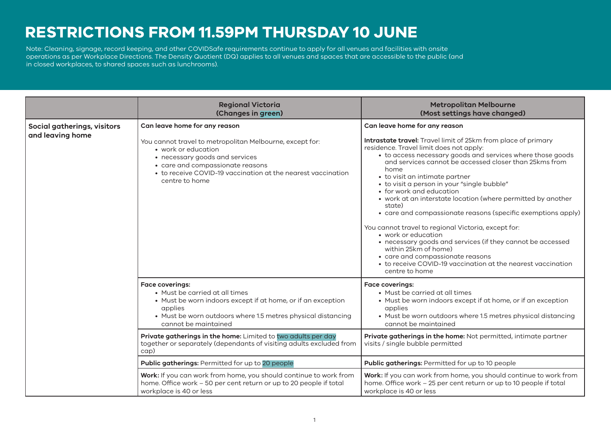## **RESTRICTIONS FROM 11.59PM THURSDAY 10 JUNE**

operations as per Workplace Directions. The Density Quotient (DQ) applies to all venues and spaces that are accessible to the public (and<br>.  $\mathsf{in}$  closed workplaces, to shared spaces such as lunchrooms). The contract of the contract of the contract of the contract of the contract of the contract of the contract of the contract of the contract of the contrac Note: Cleaning, signage, record keeping, and other COVIDSafe requirements continue to apply for all venues and facilities with onsite

|                                                 | <b>Regional Victoria</b><br>(Changes in green)                                                                                                                                                                                                                                                                                                                              | <b>Metropolitan Melbourne</b><br>(Most settings have changed)                                                                                                                                                                                                                                                                                                                                                                                                                                                                                                                                                                                                                                                                                                                                                              |
|-------------------------------------------------|-----------------------------------------------------------------------------------------------------------------------------------------------------------------------------------------------------------------------------------------------------------------------------------------------------------------------------------------------------------------------------|----------------------------------------------------------------------------------------------------------------------------------------------------------------------------------------------------------------------------------------------------------------------------------------------------------------------------------------------------------------------------------------------------------------------------------------------------------------------------------------------------------------------------------------------------------------------------------------------------------------------------------------------------------------------------------------------------------------------------------------------------------------------------------------------------------------------------|
| Social gatherings, visitors<br>and leaving home | Can leave home for any reason<br>You cannot travel to metropolitan Melbourne, except for:<br>• work or education<br>• necessary goods and services<br>• care and compassionate reasons<br>• to receive COVID-19 vaccination at the nearest vaccination<br>centre to home                                                                                                    | Can leave home for any reason<br>Intrastate travel: Travel limit of 25km from place of primary<br>residence. Travel limit does not apply:<br>• to access necessary goods and services where those goods<br>and services cannot be accessed closer than 25kms from<br>home<br>• to visit an intimate partner<br>• to visit a person in your "single bubble"<br>• for work and education<br>• work at an interstate location (where permitted by another<br>state)<br>• care and compassionate reasons (specific exemptions apply)<br>You cannot travel to regional Victoria, except for:<br>• work or education<br>• necessary goods and services (if they cannot be accessed<br>within 25km of home)<br>• care and compassionate reasons<br>• to receive COVID-19 vaccination at the nearest vaccination<br>centre to home |
|                                                 | <b>Face coverings:</b><br>• Must be carried at all times<br>• Must be worn indoors except if at home, or if an exception<br>applies<br>• Must be worn outdoors where 1.5 metres physical distancing<br>cannot be maintained<br>Private gatherings in the home: Limited to two adults per day<br>together or separately (dependants of visiting adults excluded from<br>cap) | <b>Face coverings:</b><br>• Must be carried at all times<br>• Must be worn indoors except if at home, or if an exception<br>applies<br>• Must be worn outdoors where 1.5 metres physical distancing<br>cannot be maintained<br>Private gatherings in the home: Not permitted, intimate partner<br>visits / single bubble permitted                                                                                                                                                                                                                                                                                                                                                                                                                                                                                         |
|                                                 | <b>Public gatherings: Permitted for up to 20 people</b>                                                                                                                                                                                                                                                                                                                     | Public gatherings: Permitted for up to 10 people                                                                                                                                                                                                                                                                                                                                                                                                                                                                                                                                                                                                                                                                                                                                                                           |
|                                                 | Work: If you can work from home, you should continue to work from<br>home. Office work - 50 per cent return or up to 20 people if total<br>workplace is 40 or less                                                                                                                                                                                                          | Work: If you can work from home, you should continue to work from<br>home. Office work - 25 per cent return or up to 10 people if total<br>workplace is 40 or less                                                                                                                                                                                                                                                                                                                                                                                                                                                                                                                                                                                                                                                         |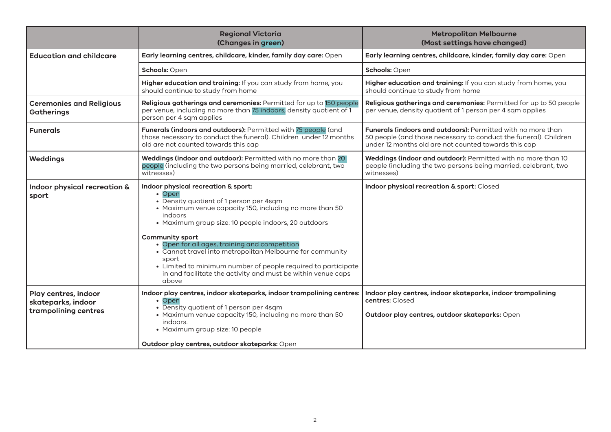|                                                                    | <b>Regional Victoria</b><br>(Changes in green)                                                                                                                                                                                                                                                                                                                                                                                                                                                                    | <b>Metropolitan Melbourne</b><br>(Most settings have changed)                                                                                                                                   |
|--------------------------------------------------------------------|-------------------------------------------------------------------------------------------------------------------------------------------------------------------------------------------------------------------------------------------------------------------------------------------------------------------------------------------------------------------------------------------------------------------------------------------------------------------------------------------------------------------|-------------------------------------------------------------------------------------------------------------------------------------------------------------------------------------------------|
| <b>Education and childcare</b>                                     | Early learning centres, childcare, kinder, family day care: Open                                                                                                                                                                                                                                                                                                                                                                                                                                                  | Early learning centres, childcare, kinder, family day care: Open                                                                                                                                |
|                                                                    | Schools: Open                                                                                                                                                                                                                                                                                                                                                                                                                                                                                                     | Schools: Open                                                                                                                                                                                   |
|                                                                    | Higher education and training: If you can study from home, you<br>should continue to study from home                                                                                                                                                                                                                                                                                                                                                                                                              | Higher education and training: If you can study from home, you<br>should continue to study from home                                                                                            |
| <b>Ceremonies and Religious</b><br><b>Gatherings</b>               | Religious gatherings and ceremonies: Permitted for up to 150 people<br>per venue, including no more than 75 indoors, density quotient of 1<br>person per 4 sqm applies                                                                                                                                                                                                                                                                                                                                            | Religious gatherings and ceremonies: Permitted for up to 50 people<br>per venue, density quotient of 1 person per 4 sqm applies                                                                 |
| <b>Funerals</b>                                                    | Funerals (indoors and outdoors): Permitted with 75 people (and<br>those necessary to conduct the funeral). Children under 12 months<br>old are not counted towards this cap                                                                                                                                                                                                                                                                                                                                       | <b>Funerals (indoors and outdoors):</b> Permitted with no more than<br>50 people (and those necessary to conduct the funeral). Children<br>under 12 months old are not counted towards this cap |
| <b>Weddings</b>                                                    | Weddings (indoor and outdoor): Permitted with no more than 20<br>people (including the two persons being married, celebrant, two<br>witnesses)                                                                                                                                                                                                                                                                                                                                                                    | Weddings (indoor and outdoor): Permitted with no more than 10<br>people (including the two persons being married, celebrant, two<br>witnesses)                                                  |
| Indoor physical recreation &<br>sport                              | Indoor physical recreation & sport:<br>• Open<br>• Density quotient of 1 person per 4sqm<br>• Maximum venue capacity 150, including no more than 50<br>indoors<br>• Maximum group size: 10 people indoors, 20 outdoors<br><b>Community sport</b><br>• Open for all ages, training and competition<br>• Cannot travel into metropolitan Melbourne for community<br>sport<br>• Limited to minimum number of people required to participate<br>in and facilitate the activity and must be within venue caps<br>above | Indoor physical recreation & sport: Closed                                                                                                                                                      |
| Play centres, indoor<br>skateparks, indoor<br>trampolining centres | Indoor play centres, indoor skateparks, indoor trampolining centres:<br>• Open<br>• Density quotient of 1 person per 4sqm<br>• Maximum venue capacity 150, including no more than 50<br>indoors.<br>• Maximum group size: 10 people<br>Outdoor play centres, outdoor skateparks: Open                                                                                                                                                                                                                             | Indoor play centres, indoor skateparks, indoor trampolining<br>centres: Closed<br>Outdoor play centres, outdoor skateparks: Open                                                                |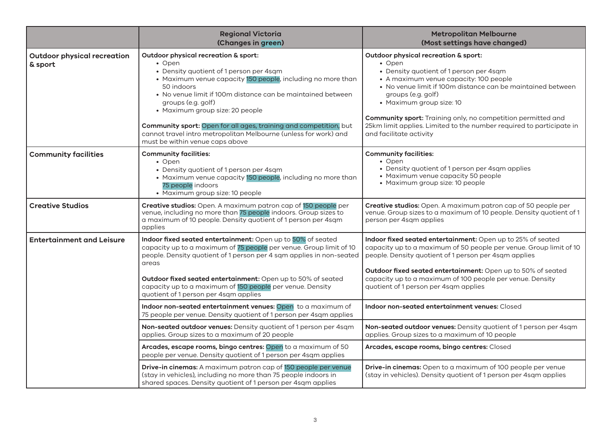|                                               | <b>Regional Victoria</b><br>(Changes in green)                                                                                                                                                                                                                                                                                                                                                                                                                             | <b>Metropolitan Melbourne</b><br>(Most settings have changed)                                                                                                                                                                                                                                                                                                                                                                  |
|-----------------------------------------------|----------------------------------------------------------------------------------------------------------------------------------------------------------------------------------------------------------------------------------------------------------------------------------------------------------------------------------------------------------------------------------------------------------------------------------------------------------------------------|--------------------------------------------------------------------------------------------------------------------------------------------------------------------------------------------------------------------------------------------------------------------------------------------------------------------------------------------------------------------------------------------------------------------------------|
| <b>Outdoor physical recreation</b><br>& sport | Outdoor physical recreation & sport:<br>• Open<br>• Density quotient of 1 person per 4sqm<br>• Maximum venue capacity 150 people, including no more than<br>50 indoors<br>• No venue limit if 100m distance can be maintained between<br>groups (e.g. golf)<br>• Maximum group size: 20 people<br>Community sport: Open for all ages, training and competition, but<br>cannot travel intro metropolitan Melbourne (unless for work) and<br>must be within venue caps above | Outdoor physical recreation & sport:<br>• Open<br>• Density quotient of 1 person per 4sqm<br>• A maximum venue capacity: 100 people<br>• No venue limit if 100m distance can be maintained between<br>groups (e.g. golf)<br>• Maximum group size: 10<br><b>Community sport:</b> Training only, no competition permitted and<br>25km limit applies. Limited to the number required to participate in<br>and facilitate activity |
| <b>Community facilities</b>                   | <b>Community facilities:</b><br>• Open<br>• Density quotient of 1 person per 4sqm<br>• Maximum venue capacity 150 people, including no more than<br>75 people indoors<br>• Maximum group size: 10 people                                                                                                                                                                                                                                                                   | <b>Community facilities:</b><br>• Open<br>• Density quotient of 1 person per 4sqm applies<br>• Maximum venue capacity 50 people<br>• Maximum group size: 10 people                                                                                                                                                                                                                                                             |
| <b>Creative Studios</b>                       | Creative studios: Open. A maximum patron cap of 150 people per<br>venue, including no more than 75 people indoors. Group sizes to<br>a maximum of 10 people. Density quotient of 1 person per 4sqm<br>applies                                                                                                                                                                                                                                                              | Creative studios: Open. A maximum patron cap of 50 people per<br>venue. Group sizes to a maximum of 10 people. Density quotient of 1<br>person per 4sqm applies                                                                                                                                                                                                                                                                |
| <b>Entertainment and Leisure</b>              | Indoor fixed seated entertainment: Open up to 50% of seated<br>capacity up to a maximum of 75 people per venue. Group limit of 10<br>people. Density quotient of 1 person per 4 sqm applies in non-seated<br>areas<br>Outdoor fixed seated entertainment: Open up to 50% of seated<br>capacity up to a maximum of 150 people per venue. Density<br>quotient of 1 person per 4sqm applies                                                                                   | Indoor fixed seated entertainment: Open up to 25% of seated<br>capacity up to a maximum of 50 people per venue. Group limit of 10<br>people. Density quotient of 1 person per 4sqm applies<br>Outdoor fixed seated entertainment: Open up to 50% of seated<br>capacity up to a maximum of 100 people per venue. Density<br>quotient of 1 person per 4sqm applies                                                               |
|                                               | Indoor non-seated entertainment venues: Open to a maximum of<br>75 people per venue. Density quotient of 1 person per 4sqm applies                                                                                                                                                                                                                                                                                                                                         | Indoor non-seated entertainment venues: Closed                                                                                                                                                                                                                                                                                                                                                                                 |
|                                               | Non-seated outdoor venues: Density quotient of 1 person per 4sqm<br>applies. Group sizes to a maximum of 20 people                                                                                                                                                                                                                                                                                                                                                         | Non-seated outdoor venues: Density quotient of 1 person per 4sqm<br>applies. Group sizes to a maximum of 10 people                                                                                                                                                                                                                                                                                                             |
|                                               | Arcades, escape rooms, bingo centres: Open to a maximum of 50<br>people per venue. Density quotient of 1 person per 4sqm applies                                                                                                                                                                                                                                                                                                                                           | Arcades, escape rooms, bingo centres: Closed                                                                                                                                                                                                                                                                                                                                                                                   |
|                                               | Drive-in cinemas: A maximum patron cap of 150 people per venue<br>(stay in vehicles), including no more than 75 people indoors in<br>shared spaces. Density quotient of 1 person per 4sqm applies                                                                                                                                                                                                                                                                          | Drive-in cinemas: Open to a maximum of 100 people per venue<br>(stay in vehicles). Density quotient of 1 person per 4sqm applies                                                                                                                                                                                                                                                                                               |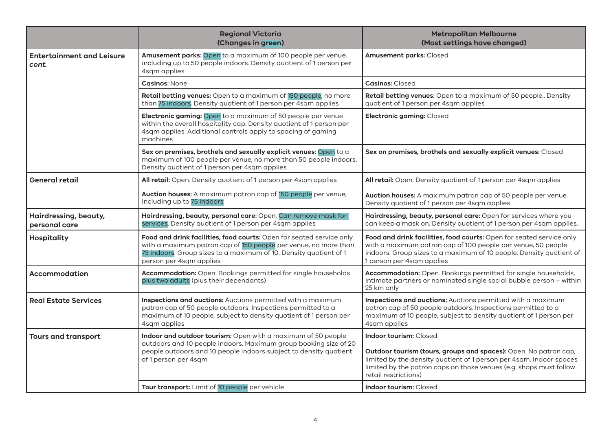|                                           | <b>Regional Victoria</b><br>(Changes in green)                                                                                                                                                                                          | <b>Metropolitan Melbourne</b><br>(Most settings have changed)                                                                                                                                                                                                          |
|-------------------------------------------|-----------------------------------------------------------------------------------------------------------------------------------------------------------------------------------------------------------------------------------------|------------------------------------------------------------------------------------------------------------------------------------------------------------------------------------------------------------------------------------------------------------------------|
| <b>Entertainment and Leisure</b><br>cont. | Amusement parks: Open to a maximum of 100 people per venue,<br>including up to 50 people indoors. Density quotient of 1 person per<br>4sqm applies                                                                                      | Amusement parks: Closed                                                                                                                                                                                                                                                |
|                                           | <b>Casinos: None</b>                                                                                                                                                                                                                    | <b>Casinos: Closed</b>                                                                                                                                                                                                                                                 |
|                                           | Retail betting venues: Open to a maximum of 150 people, no more<br>than 75 indoors. Density quotient of 1 person per 4sqm applies                                                                                                       | Retail betting venues: Open to a maximum of 50 people Density<br>quotient of 1 person per 4sqm applies                                                                                                                                                                 |
|                                           | Electronic gaming: Open to a maximum of 50 people per venue<br>within the overall hospitality cap. Density quotient of 1 person per<br>4sqm applies. Additional controls apply to spacing of gaming<br>machines                         | Electronic gaming: Closed                                                                                                                                                                                                                                              |
|                                           | Sex on premises, brothels and sexually explicit venues: Open to a<br>maximum of 100 people per venue, no more than 50 people indoors.<br>Density quotient of 1 person per 4sqm applies                                                  | Sex on premises, brothels and sexually explicit venues: Closed                                                                                                                                                                                                         |
| <b>General retail</b>                     | All retail: Open. Density quotient of 1 person per 4sqm applies                                                                                                                                                                         | All retail: Open. Density quotient of 1 person per 4sqm applies                                                                                                                                                                                                        |
|                                           | Auction houses: A maximum patron cap of 150 people per venue,<br>including up to 75 indoors                                                                                                                                             | Auction houses: A maximum patron cap of 50 people per venue.<br>Density quotient of 1 person per 4sqm applies                                                                                                                                                          |
| Hairdressing, beauty,<br>personal care    | Hairdressing, beauty, personal care: Open. Can remove mask for<br>services. Density quotient of 1 person per 4sqm applies                                                                                                               | Hairdressing, beauty, personal care: Open for services where you<br>can keep a mask on. Density quotient of 1 person per 4sqm applies.                                                                                                                                 |
| <b>Hospitality</b>                        | Food and drink facilities, food courts: Open for seated service only<br>with a maximum patron cap of 150 people per venue, no more than<br>75 indoors. Group sizes to a maximum of 10. Density quotient of 1<br>person per 4sqm applies | Food and drink facilities, food courts: Open for seated service only<br>with a maximum patron cap of 100 people per venue, 50 people<br>indoors. Group sizes to a maximum of 10 people. Density quotient of<br>1 person per 4sqm applies                               |
| Accommodation                             | Accommodation: Open. Bookings permitted for single households<br>plus two adults (plus their dependants)                                                                                                                                | Accommodation: Open. Bookings permitted for single households,<br>intimate partners or nominated single social bubble person - within<br>25 km only                                                                                                                    |
| <b>Real Estate Services</b>               | Inspections and auctions: Auctions permitted with a maximum<br>patron cap of 50 people outdoors. Inspections permitted to a<br>maximum of 10 people, subject to density quotient of 1 person per<br>4sqm applies                        | Inspections and auctions: Auctions permitted with a maximum<br>patron cap of 50 people outdoors. Inspections permitted to a<br>maximum of 10 people, subject to density quotient of 1 person per<br>4sqm applies                                                       |
| <b>Tours and transport</b>                | Indoor and outdoor tourism: Open with a maximum of 50 people<br>outdoors and 10 people indoors. Maximum group booking size of 20<br>people outdoors and 10 people indoors subject to density quotient<br>of 1 person per 4sqm           | <b>Indoor tourism: Closed</b><br>Outdoor tourism (tours, groups and spaces): Open. No patron cap,<br>limited by the density quotient of 1 person per 4sqm. Indoor spaces<br>limited by the patron caps on those venues (e.g. shops must follow<br>retail restrictions) |
|                                           | Tour transport: Limit of 10 people per vehicle                                                                                                                                                                                          | <b>Indoor tourism: Closed</b>                                                                                                                                                                                                                                          |